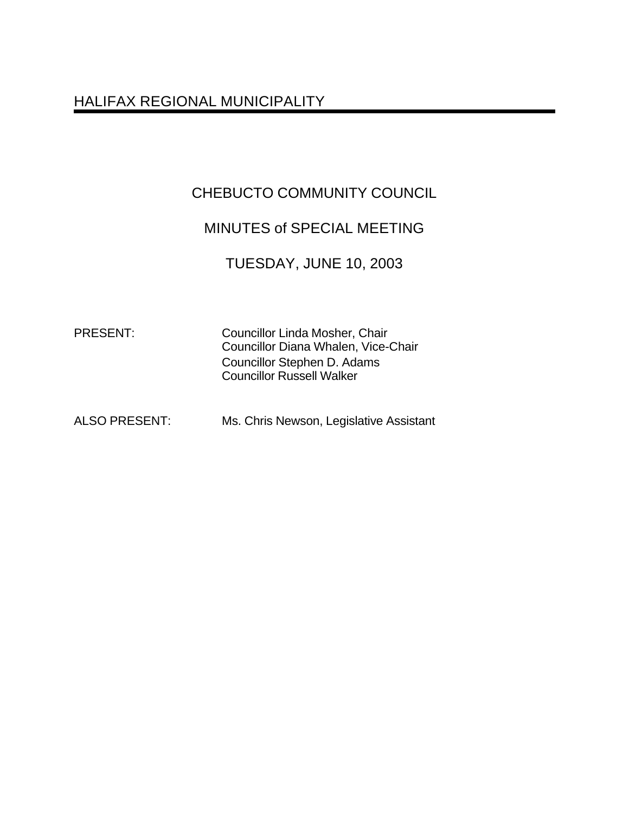# HALIFAX REGIONAL MUNICIPALITY

# CHEBUCTO COMMUNITY COUNCIL

# MINUTES of SPECIAL MEETING

### TUESDAY, JUNE 10, 2003

PRESENT: Councillor Linda Mosher, Chair Councillor Diana Whalen, Vice-Chair Councillor Stephen D. Adams Councillor Russell Walker

ALSO PRESENT: Ms. Chris Newson, Legislative Assistant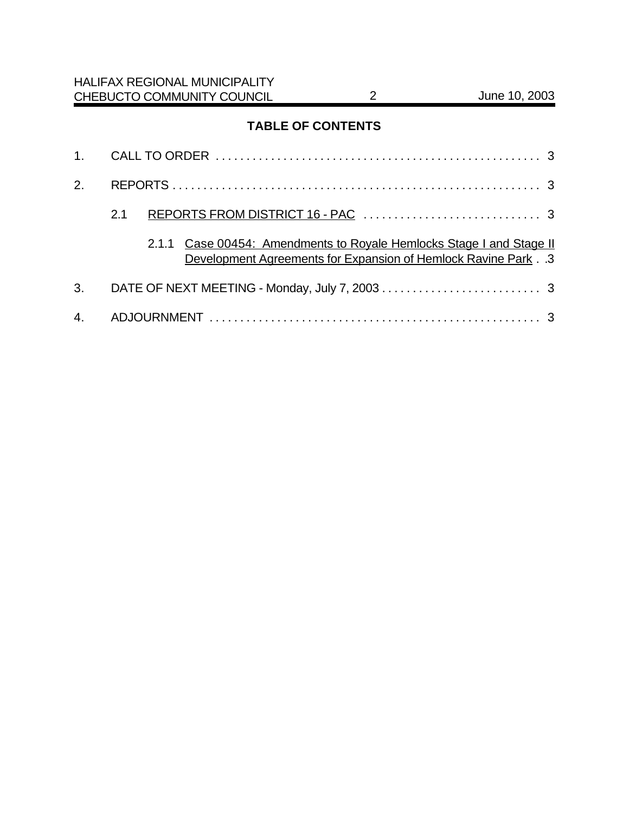### **TABLE OF CONTENTS**

| 2. |     |  |                                                                                                                                      |  |
|----|-----|--|--------------------------------------------------------------------------------------------------------------------------------------|--|
|    | 2.1 |  |                                                                                                                                      |  |
|    |     |  | 2.1.1 Case 00454: Amendments to Royale Hemlocks Stage I and Stage II<br>Development Agreements for Expansion of Hemlock Ravine Park3 |  |
| 3. |     |  |                                                                                                                                      |  |
|    |     |  |                                                                                                                                      |  |